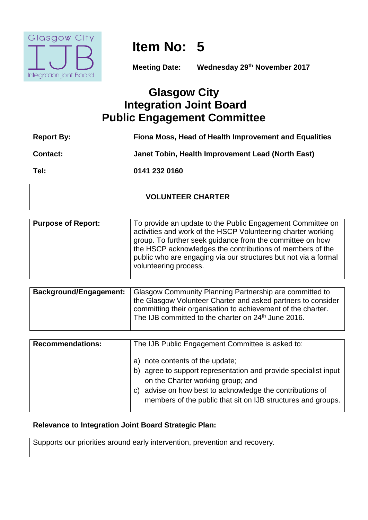

**Item No: 5**

**Meeting Date: Wednesday 29th November 2017**

# **Glasgow City Integration Joint Board Public Engagement Committee**

| <b>Report By:</b> | Fiona Moss, Head of Health Improvement and Equalities |
|-------------------|-------------------------------------------------------|
| <b>Contact:</b>   | Janet Tobin, Health Improvement Lead (North East)     |
| Tel:              | 0141 232 0160                                         |

## **VOLUNTEER CHARTER**

| <b>Purpose of Report:</b> | To provide an update to the Public Engagement Committee on<br>activities and work of the HSCP Volunteering charter working<br>group. To further seek guidance from the committee on how<br>the HSCP acknowledges the contributions of members of the<br>public who are engaging via our structures but not via a formal<br>volunteering process. |
|---------------------------|--------------------------------------------------------------------------------------------------------------------------------------------------------------------------------------------------------------------------------------------------------------------------------------------------------------------------------------------------|

| Background/Engagement: | Glasgow Community Planning Partnership are committed to         |
|------------------------|-----------------------------------------------------------------|
|                        | the Glasgow Volunteer Charter and asked partners to consider    |
|                        | committing their organisation to achievement of the charter.    |
|                        | The IJB committed to the charter on 24 <sup>th</sup> June 2016. |
|                        |                                                                 |

| <b>Recommendations:</b> | The IJB Public Engagement Committee is asked to:                                                                                                                                                                                                                              |  |
|-------------------------|-------------------------------------------------------------------------------------------------------------------------------------------------------------------------------------------------------------------------------------------------------------------------------|--|
|                         | note contents of the update;<br>a)<br>agree to support representation and provide specialist input<br>b)<br>on the Charter working group; and<br>advise on how best to acknowledge the contributions of<br>C)<br>members of the public that sit on IJB structures and groups. |  |

## **Relevance to Integration Joint Board Strategic Plan:**

Supports our priorities around early intervention, prevention and recovery.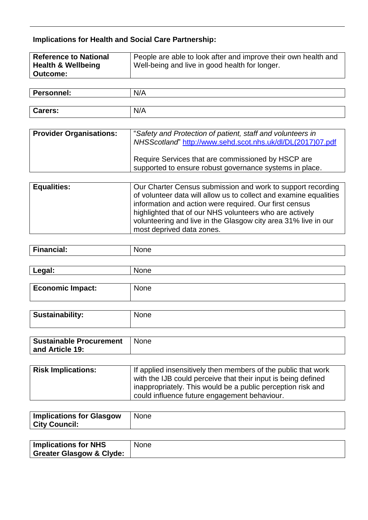# **Implications for Health and Social Care Partnership:**

| <b>Reference to National</b>  | People are able to look after and improve their own health and |
|-------------------------------|----------------------------------------------------------------|
| <b>Health &amp; Wellbeing</b> | Well-being and live in good health for longer.                 |
| <b>Outcome:</b>               |                                                                |

| <b>Personnel:</b> | N/A |
|-------------------|-----|
|                   |     |
| <b>Carers:</b>    | N/A |

| <b>Provider Organisations:</b> | "Safety and Protection of patient, staff and volunteers in<br>NHSScotland" http://www.sehd.scot.nhs.uk/dl/DL(2017)07.pdf |
|--------------------------------|--------------------------------------------------------------------------------------------------------------------------|
|                                | Require Services that are commissioned by HSCP are<br>supported to ensure robust governance systems in place.            |

| <b>Equalities:</b> | Our Charter Census submission and work to support recording<br>of volunteer data will allow us to collect and examine equalities<br>information and action were required. Our first census |
|--------------------|--------------------------------------------------------------------------------------------------------------------------------------------------------------------------------------------|
|                    | highlighted that of our NHS volunteers who are actively<br>volunteering and live in the Glasgow city area 31% live in our<br>most deprived data zones.                                     |

| Financial: | None |  |
|------------|------|--|
|            |      |  |
| Legal:     | None |  |

| ----                    | .    |
|-------------------------|------|
|                         |      |
| <b>Economic Impact:</b> | None |
|                         |      |

| <b>Sustainability:</b>                            | <b>None</b> |
|---------------------------------------------------|-------------|
| <b>Sustainable Procurement</b><br>and Article 19: | None        |

| <b>Risk Implications:</b> | If applied insensitively then members of the public that work |
|---------------------------|---------------------------------------------------------------|
|                           | with the IJB could perceive that their input is being defined |
|                           | inappropriately. This would be a public perception risk and   |
|                           | could influence future engagement behaviour.                  |

| <b>Implications for Glasgow</b> | None |
|---------------------------------|------|
| <b>City Council:</b>            |      |

| <b>Implications for NHS</b>         | None |
|-------------------------------------|------|
| <b>Greater Glasgow &amp; Clyde:</b> |      |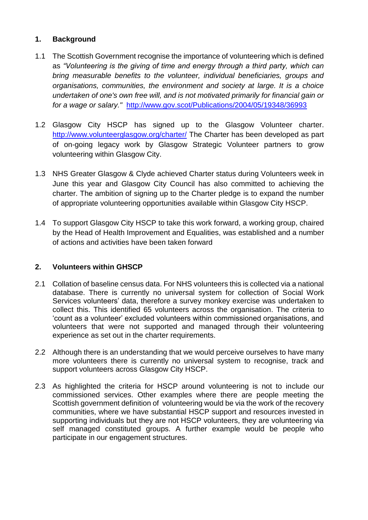#### **1. Background**

- 1.1 The Scottish Government recognise the importance of volunteering which is defined as *"Volunteering is the giving of time and energy through a third party, which can bring measurable benefits to the volunteer, individual beneficiaries, groups and organisations, communities, the environment and society at large. It is a choice undertaken of one's own free will, and is not motivated primarily for financial gain or for a wage or salary."* <http://www.gov.scot/Publications/2004/05/19348/36993>
- 1.2 Glasgow City HSCP has signed up to the Glasgow Volunteer charter. <http://www.volunteerglasgow.org/charter/> The Charter has been developed as part of on-going legacy work by Glasgow Strategic Volunteer partners to grow volunteering within Glasgow City.
- 1.3 NHS Greater Glasgow & Clyde achieved Charter status during Volunteers week in June this year and Glasgow City Council has also committed to achieving the charter. The ambition of signing up to the Charter pledge is to expand the number of appropriate volunteering opportunities available within Glasgow City HSCP.
- 1.4 To support Glasgow City HSCP to take this work forward, a working group, chaired by the Head of Health Improvement and Equalities, was established and a number of actions and activities have been taken forward

#### **2. Volunteers within GHSCP**

- 2.1 Collation of baseline census data. For NHS volunteers this is collected via a national database. There is currently no universal system for collection of Social Work Services volunteers' data, therefore a survey monkey exercise was undertaken to collect this. This identified 65 volunteers across the organisation. The criteria to 'count as a volunteer' excluded volunteers within commissioned organisations, and volunteers that were not supported and managed through their volunteering experience as set out in the charter requirements.
- 2.2 Although there is an understanding that we would perceive ourselves to have many more volunteers there is currently no universal system to recognise, track and support volunteers across Glasgow City HSCP.
- 2.3 As highlighted the criteria for HSCP around volunteering is not to include our commissioned services. Other examples where there are people meeting the Scottish government definition of volunteering would be via the work of the recovery communities, where we have substantial HSCP support and resources invested in supporting individuals but they are not HSCP volunteers, they are volunteering via self managed constituted groups. A further example would be people who participate in our engagement structures.